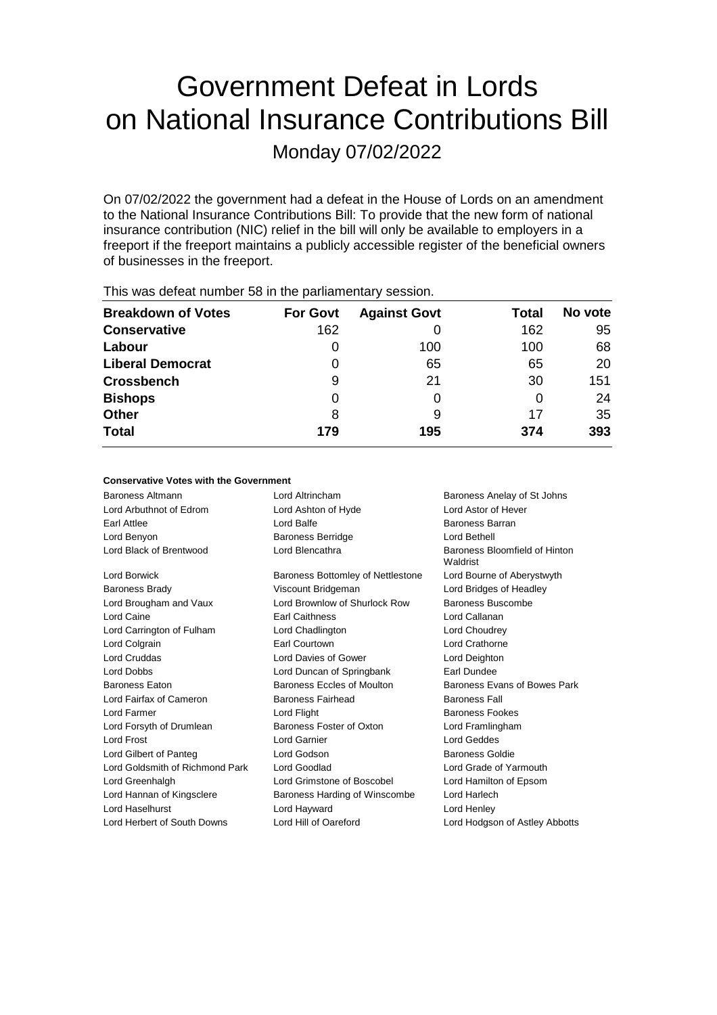# Government Defeat in Lords on National Insurance Contributions Bill

Monday 07/02/2022

On 07/02/2022 the government had a defeat in the House of Lords on an amendment to the National Insurance Contributions Bill: To provide that the new form of national insurance contribution (NIC) relief in the bill will only be available to employers in a freeport if the freeport maintains a publicly accessible register of the beneficial owners of businesses in the freeport.

| This mas actournantique of the partial formation of pools. |                 |                     |              |         |  |
|------------------------------------------------------------|-----------------|---------------------|--------------|---------|--|
| <b>Breakdown of Votes</b>                                  | <b>For Govt</b> | <b>Against Govt</b> | <b>Total</b> | No vote |  |
| <b>Conservative</b>                                        | 162             |                     | 162          | 95      |  |
| Labour                                                     | O               | 100                 | 100          | 68      |  |
| <b>Liberal Democrat</b>                                    | 0               | 65                  | 65           | 20      |  |
| <b>Crossbench</b>                                          | 9               | 21                  | 30           | 151     |  |
| <b>Bishops</b>                                             | 0               |                     | 0            | 24      |  |
| <b>Other</b>                                               | 8               | 9                   | 17           | 35      |  |
| <b>Total</b>                                               | 179             | 195                 | 374          | 393     |  |
|                                                            |                 |                     |              |         |  |

This was defeat number 58 in the parliamentary session.

#### **Conservative Votes with the Government**

| Baroness Altmann                | Lord Altrincham                   | Baroness Anelay of St Johns               |
|---------------------------------|-----------------------------------|-------------------------------------------|
| Lord Arbuthnot of Edrom         | Lord Ashton of Hyde               | Lord Astor of Hever                       |
| Earl Attlee                     | Lord Balfe                        | Baroness Barran                           |
| Lord Benyon                     | <b>Baroness Berridge</b>          | Lord Bethell                              |
| Lord Black of Brentwood         | Lord Blencathra                   | Baroness Bloomfield of Hinton<br>Waldrist |
| Lord Borwick                    | Baroness Bottomley of Nettlestone | Lord Bourne of Aberystwyth                |
| <b>Baroness Brady</b>           | Viscount Bridgeman                | Lord Bridges of Headley                   |
| Lord Brougham and Vaux          | Lord Brownlow of Shurlock Row     | Baroness Buscombe                         |
| Lord Caine                      | <b>Earl Caithness</b>             | Lord Callanan                             |
| Lord Carrington of Fulham       | Lord Chadlington                  | Lord Choudrey                             |
| Lord Colgrain                   | Earl Courtown                     | Lord Crathorne                            |
| Lord Cruddas                    | Lord Davies of Gower              | Lord Deighton                             |
| <b>Lord Dobbs</b>               | Lord Duncan of Springbank         | Earl Dundee                               |
| <b>Baroness Eaton</b>           | Baroness Eccles of Moulton        | Baroness Evans of Bowes Park              |
| Lord Fairfax of Cameron         | <b>Baroness Fairhead</b>          | <b>Baroness Fall</b>                      |
| Lord Farmer                     | Lord Flight                       | <b>Baroness Fookes</b>                    |
| Lord Forsyth of Drumlean        | Baroness Foster of Oxton          | Lord Framlingham                          |
| <b>Lord Frost</b>               | Lord Garnier                      | <b>Lord Geddes</b>                        |
| Lord Gilbert of Panteg          | Lord Godson                       | Baroness Goldie                           |
| Lord Goldsmith of Richmond Park | Lord Goodlad                      | Lord Grade of Yarmouth                    |
| Lord Greenhalgh                 | Lord Grimstone of Boscobel        | Lord Hamilton of Epsom                    |
| Lord Hannan of Kingsclere       | Baroness Harding of Winscombe     | Lord Harlech                              |
| Lord Haselhurst                 | Lord Hayward                      | Lord Henley                               |
| Lord Herbert of South Downs     | Lord Hill of Oareford             | Lord Hodgson of Astley Abbotts            |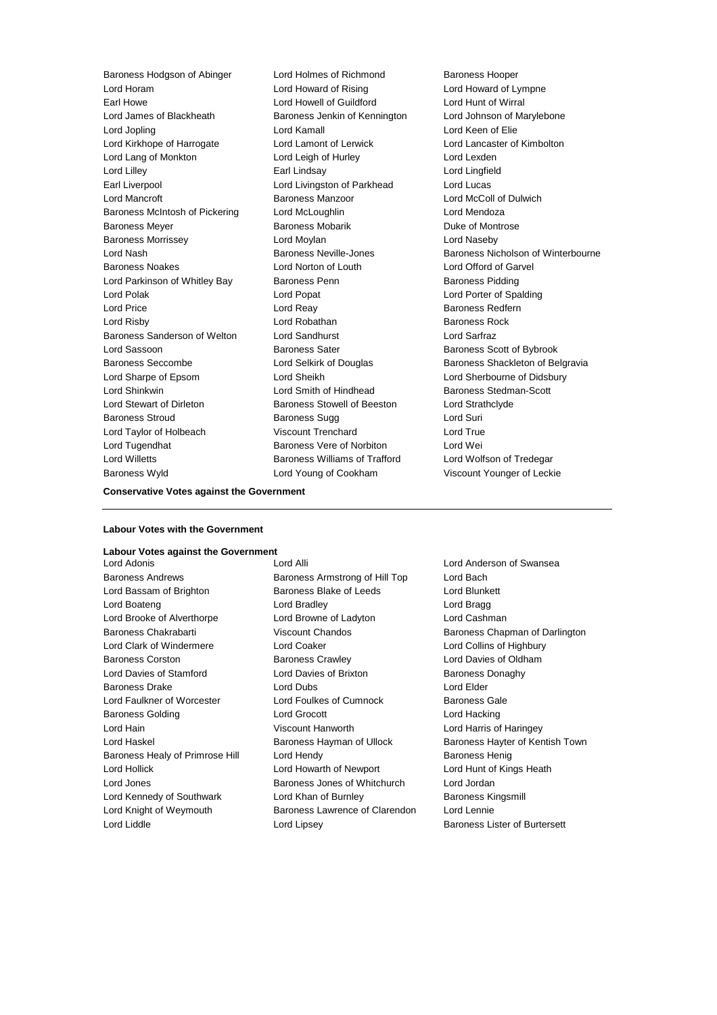Lord Horam Lord Howard of Rising Lord Howard of Lympne Earl Howe **Lord Howell of Guildford** Earl Howe Lord Hunt of Wirral<br>
Lord James of Blackheath **Baroness Jenkin of Kennington** Lord Johnson of Ma Lord Jopling Lord Kamall Lord Keen of Elie Lord Kirkhope of Harrogate Lord Lamont of Lerwick Lord Lancaster of Kimbolton Lord Lang of Monkton **Lord Leigh of Hurley** Lord Lexden Lord Lilley Earl Lindsay Lord Lingfield Earl Liverpool **Lord Livingston of Parkhead** Lord Lucas Lord Mancroft **Baroness Manzoor** Baroness Manzoor **Lord McColl of Dulwich** Baroness McIntosh of Pickering Lord McLoughlin Lord Mendoza Baroness Meyer **Baroness Mobarik** Baroness Mobarik Baroness Mobarik Buke of Montrose Baroness Morrissey Lord Moylan Lord Naseby Baroness Noakes Lord Norton of Louth Lord Offord of Garvel Lord Parkinson of Whitley Bay Baroness Penn Baroness Pidding Lord Polak Lord Popat Lord Porter of Spalding Lord Price **Lord Reay Community** Lord Reay **Baroness Redfern** Lord Risby **Lord Robathan** Baroness Rock Baroness Sanderson of Welton Lord Sandhurst Lord Sarfraz Lord Sassoon **Baroness Sater** Baroness Sater **Baroness** Scott of Bybrook Baroness Seccombe **Lord Selkirk of Douglas** Baroness Shackleton of Belgravia Lord Sharpe of Epsom Lord Sheikh Lord Sherbourne of Didsbury Lord Shinkwin **Lord Smith of Hindhead** Baroness Stedman-Scott Lord Stewart of Dirleton Baroness Stowell of Beeston Lord Strathclyde **Baroness Stroud Community Baroness Sugg Lord Suri** Lord Taylor of Holbeach Viscount Trenchard Lord True Lord Tugendhat **Baroness Vere of Norbiton** Lord Wei Lord Willetts **Baroness Williams of Trafford** Lord Wolfson of Tredegar Baroness Wyld Lord Young of Cookham Viscount Younger of Leckie

Baroness Hodgson of Abinger Lord Holmes of Richmond Baroness Hooper Baroness Jenkin of Kennington Lord Johnson of Marylebone

Lord Nash Baroness Neville-Jones Baroness Nicholson of Winterbourne

#### **Conservative Votes against the Government**

#### **Labour Votes with the Government**

# **Labour Votes against the Government**

Baroness Andrews **Baroness Armstrong of Hill Top** Lord Bach Lord Bassam of Brighton **Baroness Blake of Leeds** Lord Blunkett Lord Boateng Lord Bradley Lord Bragg Lord Brooke of Alverthorpe Lord Browne of Ladyton Lord Cashman Lord Clark of Windermere Lord Coaker Lord Collins of Highbury Baroness Corston Baroness Crawley Lord Davies of Oldham Lord Davies of Stamford **Lord Davies of Brixton** Baroness Donaghy Baroness Drake Lord Dubs Lord Elder Lord Faulkner of Worcester Lord Foulkes of Cumnock Baroness Gale Baroness Golding Lord Grocott Lord Hacking Lord Hain Viscount Hanworth Lord Harris of Haringey Baroness Healy of Primrose Hill Lord Hendy **Baroness Henig** Baroness Henig Lord Hollick Lord Howarth of Newport Lord Hunt of Kings Heath Lord Jones Baroness Jones of Whitchurch Lord Jordan Lord Kennedy of Southwark Lord Khan of Burnley Baroness Kingsmill Lord Knight of Weymouth Baroness Lawrence of Clarendon Lord Lennie

Lord Adonis Lord Alli Lord Anderson of Swansea Lord Liddle **Lord Lipsey** Lord Lipsey **Baroness Lister of Burtersett** 

Baroness Chakrabarti Viscount Chandos Baroness Chapman of Darlington Lord Haskel **Baroness Hayman of Ullock** Baroness Hayter of Kentish Town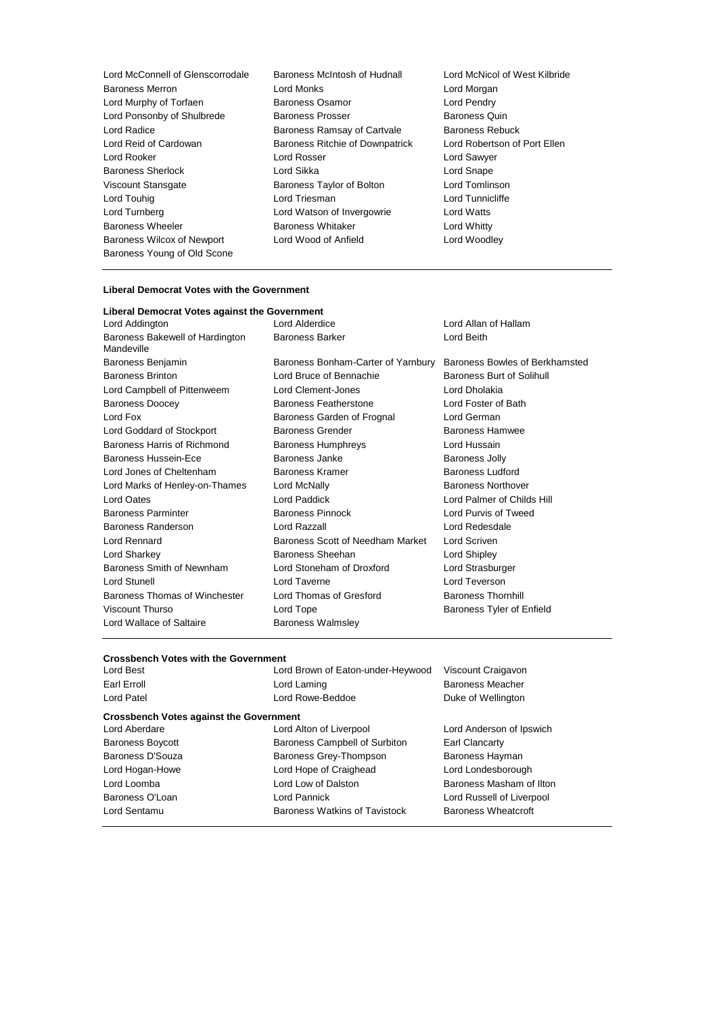Lord McConnell of Glenscorrodale Baroness McIntosh of Hudnall Lord McNicol of West Kilbride Baroness Merron **Example 2** Lord Monks Lord Morgan<br>
Lord Murphy of Torfaen **Example 2 Baroness Osamor** Cord Pendry Lord Murphy of Torfaen **Baroness Osamor** Cord Pendry<br>
Lord Ponsonby of Shulbrede Baroness Prosser **Baroness Quin**<br>
Baroness Quin Lord Ponsonby of Shulbrede Lord Radice **Baroness Ramsay of Cartvale** Baroness Rebuck Lord Reid of Cardowan Baroness Ritchie of Downpatrick Lord Robertson of Port Ellen Lord Rooker Lord Rosser Lord Sawyer Baroness Sherlock **Lord Sikka** Lord Sikka Lord Snape<br>
Viscount Stansgate **Lord Shape Baroness Taylor of Bolton** Lord Tomlinson Viscount Stansgate **Baroness Taylor of Bolton** Lord Tomlinson<br>
Lord Touhig Lord Tomlinson<br>
Lord Triesman **Lord Tomling** Lord Touhig **Lord Triesman** Lord Turnberg Lord Watson of Invergowrie Lord Watts Baroness Wheeler **Baroness Whitaker Baroness Whitaker** Lord Whitty Baroness Wilcox of Newport Lord Wood of Anfield Lord Woodley Baroness Young of Old Scone

#### **Liberal Democrat Votes with the Government**

| Liberal Democrat Votes against the Government |                                      |                                |
|-----------------------------------------------|--------------------------------------|--------------------------------|
| Lord Addington                                | Lord Alderdice                       | Lord Allan of Hallam           |
| Baroness Bakewell of Hardington<br>Mandeville | <b>Baroness Barker</b><br>Lord Beith |                                |
| Baroness Benjamin                             | Baroness Bonham-Carter of Yarnbury   | Baroness Bowles of Berkhamsted |
| <b>Baroness Brinton</b>                       | Lord Bruce of Bennachie              | Baroness Burt of Solihull      |
| Lord Campbell of Pittenweem                   | Lord Clement-Jones                   | Lord Dholakia                  |
| <b>Baroness Doocey</b>                        | Baroness Featherstone                | Lord Foster of Bath            |
| Lord Fox                                      | Baroness Garden of Frognal           | Lord German                    |
| Lord Goddard of Stockport                     | <b>Baroness Grender</b>              | <b>Baroness Hamwee</b>         |
| Baroness Harris of Richmond                   | <b>Baroness Humphreys</b>            | Lord Hussain                   |
| Baroness Hussein-Ece                          | Baroness Janke                       | <b>Baroness Jolly</b>          |
| Lord Jones of Cheltenham                      | Baroness Kramer                      | Baroness Ludford               |
| Lord Marks of Henley-on-Thames                | Lord McNally                         | <b>Baroness Northover</b>      |
| Lord Oates                                    | Lord Paddick                         | Lord Palmer of Childs Hill     |
| <b>Baroness Parminter</b>                     | <b>Baroness Pinnock</b>              | Lord Purvis of Tweed           |
| Baroness Randerson                            | Lord Razzall                         | Lord Redesdale                 |
| Lord Rennard                                  | Baroness Scott of Needham Market     | Lord Scriven                   |
| Lord Sharkey                                  | Baroness Sheehan                     | Lord Shipley                   |
| Baroness Smith of Newnham                     | Lord Stoneham of Droxford            | Lord Strasburger               |
| Lord Stunell                                  | Lord Taverne                         | Lord Teverson                  |
| Baroness Thomas of Winchester                 | Lord Thomas of Gresford              | <b>Baroness Thornhill</b>      |
| Viscount Thurso                               | Lord Tope                            | Baroness Tyler of Enfield      |
| Lord Wallace of Saltaire                      | <b>Baroness Walmsley</b>             |                                |

### **Crossbench Votes with the Government**

| Lord Best                                      | Lord Brown of Eaton-under-Heywood         | Viscount Craigavon       |
|------------------------------------------------|-------------------------------------------|--------------------------|
| Earl Erroll                                    | Lord Laming                               | <b>Baroness Meacher</b>  |
| Lord Patel                                     | Lord Rowe-Beddoe                          | Duke of Wellington       |
| <b>Crossbench Votes against the Government</b> |                                           |                          |
| Lord Aberdare                                  | Lord Alton of Liverpool                   | Lord Anderson of Ipswich |
| <b>Baroness Boycott</b>                        | Baroness Campbell of Surbiton             | Earl Clancarty           |
| Baroness D'Souza                               | Baroness Grey-Thompson                    | Baroness Hayman          |
| Lord Hogan-Howe                                | Lord Hope of Craighead                    | Lord Londesborough       |
| Lord Loomba                                    | Lord Low of Dalston                       | Baroness Masham of Ilton |
| Baroness O'Loan                                | Lord Russell of Liverpool<br>Lord Pannick |                          |
| Lord Sentamu                                   | <b>Baroness Watkins of Tavistock</b>      | Baroness Wheatcroft      |